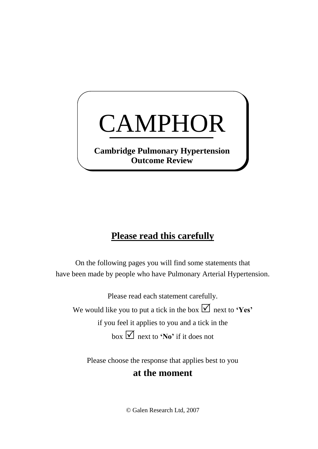## CAMPHOR

**Cambridge Pulmonary Hypertension Outcome Review**

## **Please read this carefully**

On the following pages you will find some statements that have been made by people who have Pulmonary Arterial Hypertension.

Please read each statement carefully. We would like you to put a tick in the box  $\Box$  next to **'Yes'** if you feel it applies to you and a tick in the box  $\boxed{\bigvee}$  next to **'No'** if it does not

Please choose the response that applies best to you

## **at the moment**

© Galen Research Ltd, 2007